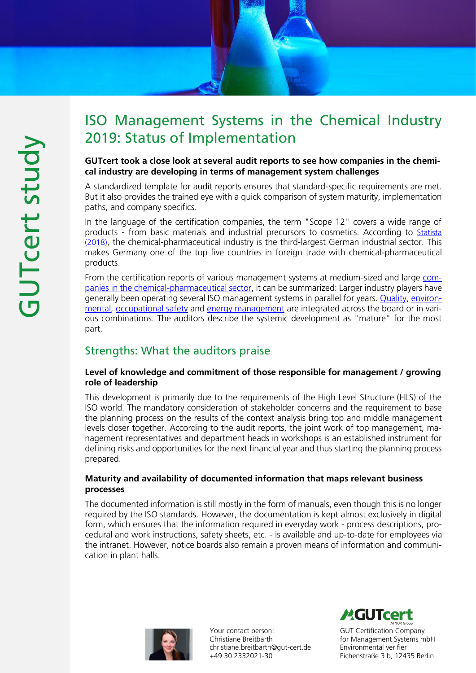# ISO Management Systems in the Chemical Industry 2019: Status of Implementation

#### GUTcert took a close look at several audit reports to see how companies in the chemical industry are developing in terms of management system challenges

A standardized template for audit reports ensures that standard-specific requirements are met. But it also provides the trained eye with a quick comparison of system maturity, implementation paths, and company specifics.

In the language of the certification companies, the term "Scope 12" covers a wide range of products - from basic materials and industrial precursors to cosmetics. According to [Statista](https://de.statista.com/statistik/kategorien/kategorie/7/themen/59/branche/chemieindustrie/)  [\(2018\)](https://de.statista.com/statistik/kategorien/kategorie/7/themen/59/branche/chemieindustrie/), the chemical-pharmaceutical industry is the third-largest German industrial sector. This makes Germany one of the top five countries in foreign trade with chemical-pharmaceutical products.

From the certification reports of various management systems at medium-sized and large [com](https://www.gut-cert.de/branchen/rohstoffe-baugewerbe-pharma-chemie-textil.html)[panies in the chemical-pharmaceutical sector,](https://www.gut-cert.de/branchen/rohstoffe-baugewerbe-pharma-chemie-textil.html) it can be summarized: Larger industry players have generally been operating several ISO management systems in parallel for years. [Quality,](https://www.gut-cert.de/produkte/managementsysteme-azav/qualitaet.html) [environ](https://www.gut-cert.de/produkte/managementsysteme-azav/umwelt.html)[mental,](https://www.gut-cert.de/produkte/managementsysteme-azav/umwelt.html) [occupational safety](https://www.gut-cert.de/produkte/managementsysteme-azav/arbeitssicherheit.html) and [energy management](https://www.gut-cert.de/produkte/managementsysteme-azav/energie.html) are integrated across the board or in various combinations. The auditors describe the systemic development as "mature" for the most part.

# Strengths: What the auditors praise

#### Level of knowledge and commitment of those responsible for management / growing role of leadership

This development is primarily due to the requirements of the High Level Structure (HLS) of the ISO world. The mandatory consideration of stakeholder concerns and the requirement to base the planning process on the results of the context analysis bring top and middle management levels closer together. According to the audit reports, the joint work of top management, management representatives and department heads in workshops is an established instrument for defining risks and opportunities for the next financial year and thus starting the planning process prepared.

#### Maturity and availability of documented information that maps relevant business processes

The documented information is still mostly in the form of manuals, even though this is no longer required by the ISO standards. However, the documentation is kept almost exclusively in digital form, which ensures that the information required in everyday work - process descriptions, procedural and work instructions, safety sheets, etc. - is available and up-to-date for employees via the intranet. However, notice boards also remain a proven means of information and communication in plant halls.



Your contact person: Christiane Breitbarth christiane.breitbarth@gut-cert.de +49 30 2332021-30

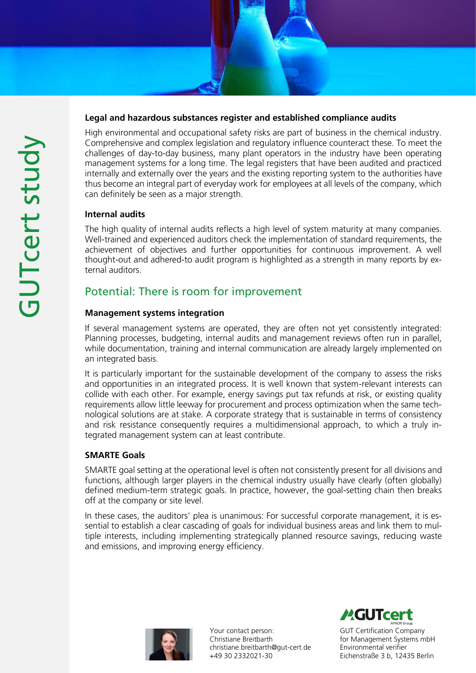### Legal and hazardous substances register and established compliance audits

High environmental and occupational safety risks are part of business in the chemical industry. Comprehensive and complex legislation and regulatory influence counteract these. To meet the challenges of day-to-day business, many plant operators in the industry have been operating management systems for a long time. The legal registers that have been audited and practiced internally and externally over the years and the existing reporting system to the authorities have thus become an integral part of everyday work for employees at all levels of the company, which can definitely be seen as a major strength.

### Internal audits

The high quality of internal audits reflects a high level of system maturity at many companies. Well-trained and experienced auditors check the implementation of standard requirements, the achievement of objectives and further opportunities for continuous improvement. A well thought-out and adhered-to audit program is highlighted as a strength in many reports by external auditors.

# Potential: There is room for improvement

### Management systems integration

If several management systems are operated, they are often not yet consistently integrated: Planning processes, budgeting, internal audits and management reviews often run in parallel, while documentation, training and internal communication are already largely implemented on an integrated basis.

It is particularly important for the sustainable development of the company to assess the risks and opportunities in an integrated process. It is well known that system-relevant interests can collide with each other. For example, energy savings put tax refunds at risk, or existing quality requirements allow little leeway for procurement and process optimization when the same technological solutions are at stake. A corporate strategy that is sustainable in terms of consistency and risk resistance consequently requires a multidimensional approach, to which a truly integrated management system can at least contribute.

### SMARTE Goals

SMARTE goal setting at the operational level is often not consistently present for all divisions and functions, although larger players in the chemical industry usually have clearly (often globally) defined medium-term strategic goals. In practice, however, the goal-setting chain then breaks off at the company or site level.

In these cases, the auditors' plea is unanimous: For successful corporate management, it is essential to establish a clear cascading of goals for individual business areas and link them to multiple interests, including implementing strategically planned resource savings, reducing waste and emissions, and improving energy efficiency.



Your contact person: Christiane Breitbarth christiane.breitbarth@gut-cert.de +49 30 2332021-30

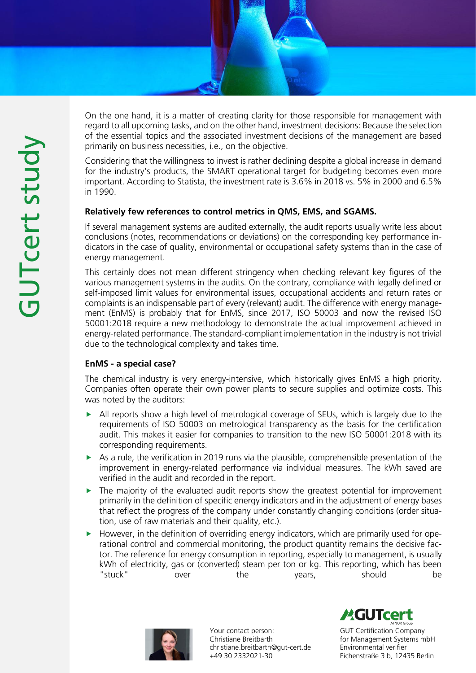

On the one hand, it is a matter of creating clarity for those responsible for management with regard to all upcoming tasks, and on the other hand, investment decisions: Because the selection of the essential topics and the associated investment decisions of the management are based primarily on business necessities, i.e., on the objective.

Considering that the willingness to invest is rather declining despite a global increase in demand for the industry's products, the SMART operational target for budgeting becomes even more important. According to Statista, the investment rate is 3.6% in 2018 vs. 5% in 2000 and 6.5% in 1990.

### Relatively few references to control metrics in QMS, EMS, and SGAMS.

If several management systems are audited externally, the audit reports usually write less about conclusions (notes, recommendations or deviations) on the corresponding key performance indicators in the case of quality, environmental or occupational safety systems than in the case of energy management.

This certainly does not mean different stringency when checking relevant key figures of the various management systems in the audits. On the contrary, compliance with legally defined or self-imposed limit values for environmental issues, occupational accidents and return rates or complaints is an indispensable part of every (relevant) audit. The difference with energy management (EnMS) is probably that for EnMS, since 2017, ISO 50003 and now the revised ISO 50001:2018 require a new methodology to demonstrate the actual improvement achieved in energy-related performance. The standard-compliant implementation in the industry is not trivial due to the technological complexity and takes time.

### EnMS - a special case?

The chemical industry is very energy-intensive, which historically gives EnMS a high priority. Companies often operate their own power plants to secure supplies and optimize costs. This was noted by the auditors:

- All reports show a high level of metrological coverage of SEUs, which is largely due to the requirements of ISO 50003 on metrological transparency as the basis for the certification audit. This makes it easier for companies to transition to the new ISO 50001:2018 with its corresponding requirements.
- As a rule, the verification in 2019 runs via the plausible, comprehensible presentation of the improvement in energy-related performance via individual measures. The kWh saved are verified in the audit and recorded in the report.
- $\blacktriangleright$  The majority of the evaluated audit reports show the greatest potential for improvement primarily in the definition of specific energy indicators and in the adjustment of energy bases that reflect the progress of the company under constantly changing conditions (order situation, use of raw materials and their quality, etc.).
- $\blacktriangleright$  However, in the definition of overriding energy indicators, which are primarily used for operational control and commercial monitoring, the product quantity remains the decisive factor. The reference for energy consumption in reporting, especially to management, is usually kWh of electricity, gas or (converted) steam per ton or kg. This reporting, which has been "stuck" over the years, should be



Your contact person: Christiane Breitbarth christiane.breitbarth@gut-cert.de +49 30 2332021-30